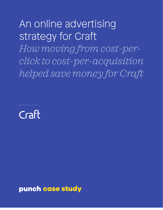An online advertising strategy for Craft *How moving from cost-perclick to cost-per-acquisition helped save money for Craft*

Craft

punch case study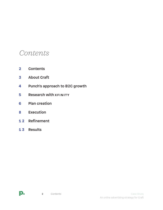# *Contents*

- **2 Contents**
- **3 [About Craft](#page-2-0)**
- **4 [Punch's approach to B2C growth](#page-3-0)**
- **5** Research with XFINITY
- **6 [Plan creation](#page-5-0)**
- **8 [Execution](#page-7-0)**
- **1 2 [Refinement](#page-11-0)**
- **1 3 [Results](#page-12-0)**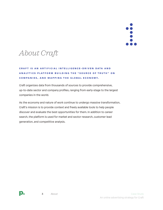

# <span id="page-2-0"></span>*About Craft*

## **Craft is an A rtifi c ial I ntelligen c e - d r i v e n d a t a a n d analyti c s platform building the " S our c e of T r u t h " o n c ompanies, and mapping the global e c o n o m y.**

Craft organizes data from thousands of sources to provide comprehensive, up-to-date sector and company profiles, ranging from early-stage to the largest companies in the world.

As the economy and nature of work continue to undergo massive transformation, Craft's mission is to provide context and freely available tools to help people discover and evaluate the best opportunities for them. In addition to career search, the platform is used for market and sector research, customer lead generation, and competitive analysis.

p.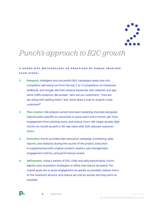

# <span id="page-3-0"></span>*Punch's approach to B2C growth*

## **A sound B 2 c methodology as pra c t i c ed by P u n c h i n v o l v e s four steps.**

- **1 Research.** Intelligent and successful B2C campaigns deep dive into competitor ads being run from the top 1 to 3 competitors on Facebook, AdWords, and Google. We then analyze keywords, SEO, website, and app store traffic analytics. We answer "who are our customers," "how are we doing with getting them," and "what does it cost to acquire a new customer?"
- **2 Plan creation.** We analyze current and new marketing channels alongside tailored plans specific to a business to grow users every month, get more engagement from existing users, and reduce churn. We target double-digit month-on-month growth in 90-day-tests with 50% reduced customer churn.
- **3 Execution.** Punch provides plan execution, campaign monitoring, daily reports, and analytics during the course of the project. Execution is supplemented with original content creation, ads management, engagement metrics, and performance review.
- **4 Refinement.** Using a variety of CPC, CPM, and daily benchmarks, Punch adjusts user acquisition strategies to refine and reduce ad spend. The overall goals are to grow engagement as quickly as possible, reduce churn to the maximum amount, and reduce ad cost as quickly and long-term as possible.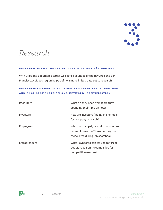

# <span id="page-4-0"></span>*Research*

#### **RESEARCH FORMS THE INITIAL STEP WITH ANY B2C PROJECT.**

With Craft, the geographic target was set as counties of the Bay Area and San Francisco. A closed region helps define a more limited data set to research.

| Recruiters           | What do they need? What are they<br>spending their time on now?                                              |
|----------------------|--------------------------------------------------------------------------------------------------------------|
| Investors            | How are investors finding online tools<br>for company research?                                              |
| <b>Employees</b>     | Which ad campaigns and what sources<br>do employees use? How do they use<br>these sites during job searches? |
| <b>Entrepreneurs</b> | What keyboards can we use to target<br>people researching companies for<br>competitive reasons?              |

## **RESEAR C HING C RAFT ' S AUDIEN C E AND THEIR NEEDS : FURTHER AUDIEN C E SEGMENTATION AND K EYWORD IDENTIFI C ATION**

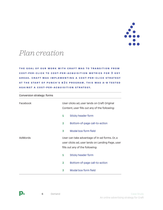

## <span id="page-5-0"></span>*Plan creation*

Conversion strategy: forms

**THE GOAL OF OUR WORK WITH CRAFT WAS TO TRANSITION FROM c ost-per- c l i ck to c ost-per-a c quisition metri c s for 3 K EY areas. Craft was implementing a c ost-per- c l i ck s t r a t e g y at the start of P u n c h's B 2C program. T his was A - B t e s t e d against a c ost-per-a c q u i s i t i o n s t r at e gy.**

| Facebook |                                                                                                                                      | User clicks ad, user lands on Craft Original<br>Content, user fills out any of the following: |  |
|----------|--------------------------------------------------------------------------------------------------------------------------------------|-----------------------------------------------------------------------------------------------|--|
|          | 1                                                                                                                                    | <b>Sticky header form</b>                                                                     |  |
|          | $\mathbf{2}$                                                                                                                         | Bottom-of-page call-to-action                                                                 |  |
|          | 3                                                                                                                                    | Modal box form field                                                                          |  |
| AdWords  | User can take advantage of in-ad forms. Or, a<br>user clicks ad, user lands on Landing Page, user<br>fills out any of the following: |                                                                                               |  |
|          | 1                                                                                                                                    | <b>Sticky header form</b>                                                                     |  |
|          | $\mathbf{2}$                                                                                                                         | Bottom-of-page call-to-action                                                                 |  |
|          | 3                                                                                                                                    | <b>Modal box form field</b>                                                                   |  |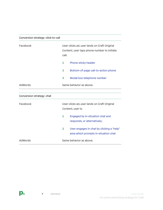| AdWords                                             | Same behavior as above.                                                                     |  |
|-----------------------------------------------------|---------------------------------------------------------------------------------------------|--|
| 3<br>Modal box telephone number                     |                                                                                             |  |
| Bottom-of-page call-to-action phone<br>$\mathbf{2}$ |                                                                                             |  |
| <b>Phone sticky header</b><br>1                     |                                                                                             |  |
| Facebook<br>call:                                   | User clicks ad, user lands on Craft Original<br>Content, user taps phone number to initiate |  |

| Conversion strategy: chat |              |                                                                                   |  |
|---------------------------|--------------|-----------------------------------------------------------------------------------|--|
| Facebook                  |              | User clicks ad, user lands on Craft Original<br>Content, user is:                 |  |
|                           | 1            | Engaged by in-situation chat and<br>responds, or alternatively;                   |  |
|                           | $\mathbf{2}$ | User engages in chat by clicking a "help"<br>area which prompts in-situation chat |  |
| AdWords                   |              | Same behavior as above.                                                           |  |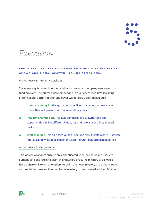

# <span id="page-7-0"></span>*Execution*

## **P u n c h e x e c uted the plan c reated along with A - B t e s t i n g OF TWO ADDITIONAL GROWTH HACKING CAMPAIGNS.**

### Growth Hack 1: Interactive Quizzes

These were quizzes on how users felt about a certain company, news event, or funding event. The quizzes were embedded in a variety of mediums including sticky header, bottom-footer, and hover widget (like a chat-based quiz).

- **1 Company test quiz.** This quiz compares five companies on how a user thinks they will perform across several key areas.
- **2 Industry analysis quiz.** This quiz compares the growth trend and opportunities in five different industries and how a user thinks they will perform.
- **3 Craft test quiz.** This quiz asks what a user likes about Craft, where Craft can improve, and what does a user envision the Craft platform can become?

### Growth Hack 2: Mystery Prize

This was be a random prize to an authenticated user, it encouraged users to authenticate and log in to claim their mystery prize. The mystery prize would have a share link to engage others to claim their own mystery prize. There were also social features such as number of mystery prizes claimed, and for Facebook

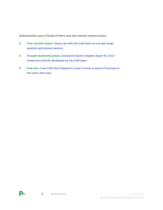authenticated users, friends of theirs who had claimed mystery prizes.

- **4 Free call with expert.** Skype call with the Craft team on a broad range question and answer session.
- **5 Thought leadership pieces.** Exclusive industry insights report for 2017 investment activity developed by the Craft team.
- **6 Free item.** Free Craft shirt shipped to a user's home or place of business in the user's shirt size.

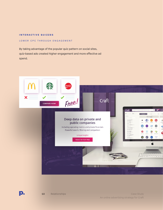#### **I ntera c tive quizzes**

#### Lower CPC through engagement

By taking advantage of the popular quiz pattern on social sites, quiz-based ads created higher engagement and more effective ad spend.



D.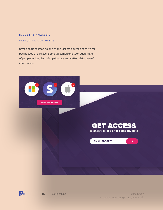#### **I ndustry analysis**

#### CAPTURING NEW USERS

Craft positions itself as one of the largest sources of truth for businesses of all sizes. Some ad campaigns took advantage of people looking for this up-to-date and vetted database of information.





 $\blacktriangleright$ 

**EMAIL ADDRESS** 

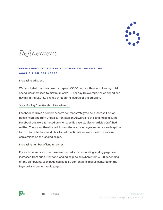

# <span id="page-11-0"></span>*Refinement*

## **REFINEMENT IS CRITICAL TO LOWERING THE COST OF a c quisition for users.**

### Increasing ad spend

We concluded that the current ad spend (\$500 per month) was not enough. Ad spend was increased to maximum of \$100 per day. On average, the ad spend per day fell in the \$50–\$75 range through the course of the program.

### Transitioning from Facebook to AdWords

Facebook requires a comprehensive content strategy to be successful, so we began migrating from Craft's current ads on AdWords to the landing pages. The Facebook ads were targeted only for specific case studies or articles Craft had written. The non-authenticated flow on these article pages served as lead capture forms: chat interfaces and click-to-call functionalities were used to measure conversions on the landing pages.

### Increasing number of landing pages

For each persona and use case, we wanted a corresponding landing page. We increased from our current one landing page to anywhere from 3–10 depending on the campaigns. Each page had specific content and images centered on the keyword and demographic targets.

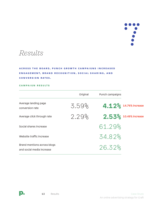

<span id="page-12-0"></span>*Results*

**Ac ross the board, P u n c h growth c ampaigns in c r e a s e d e n g ag e m e n t, b ra n d r e c ognition, so c i a l s h a r i n g , a n d c onversion rates.**

#### **Campaign R esults**

|                                                          | Original | <b>Punch campaigns</b> |                       |
|----------------------------------------------------------|----------|------------------------|-----------------------|
| Average landing page<br>conversion rate                  | 3.59%    |                        | 4.12% 14.76% increase |
| Average click through rate                               | 2.29%    |                        | 2.53% 10.48% increase |
| Social shares increase                                   |          | 61.29%                 |                       |
| Website traffic increase                                 |          | 34.82%                 |                       |
| Brand mentions across blogs<br>and social media increase |          | 26.32%                 |                       |